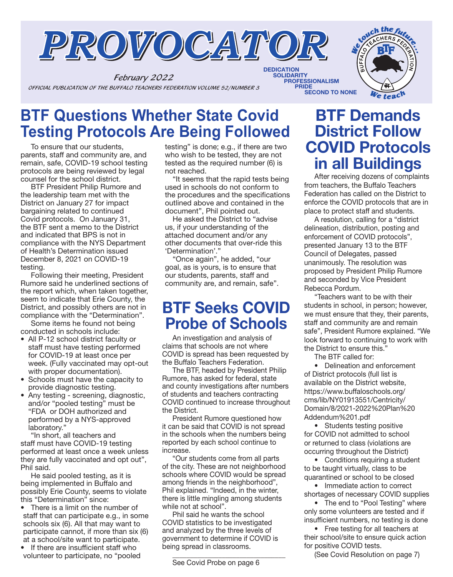

February 2022 OFFICIAL PUBLICATION OF THE BUFFALO TEACHERS FEDERATION VOLUME 52/NUMBER 3



### **BTF Questions Whether State Covid Testing Protocols Are Being Followed**

To ensure that our students, parents, staff and community are, and remain, safe, COVID-19 school testing protocols are being reviewed by legal counsel for the school district.

BTF President Philip Rumore and the leadership team met with the District on January 27 for impact bargaining related to continued Covid protocols. On January 31, the BTF sent a memo to the District and indicated that BPS is not in compliance with the NYS Department of Health's Determination issued December 8, 2021 on COVID-19 testing.

Following their meeting, President Rumore said he underlined sections of the report which, when taken together, seem to indicate that Erie County, the District, and possibly others are not in compliance with the "Determination".

Some items he found not being conducted in schools include:

- All P-12 school district faculty or staff must have testing performed for COVID-19 at least once per week. (Fully vaccinated may opt-out with proper documentation).
- Schools must have the capacity to provide diagnostic testing.
- Any testing screening, diagnostic, and/or "pooled testing" must be "FDA or DOH authorized and performed by a NYS-approved laboratory."

"In short, all teachers and staff must have COVID-19 testing performed at least once a week unless they are fully vaccinated and opt out", Phil said.

He said pooled testing, as it is being implemented in Buffalo and possibly Erie County, seems to violate this "Determination" since:

- There is a limit on the number of staff that can participate e.g., in some schools six (6). All that may want to participate cannot, if more than six (6) at a school/site want to participate.
- If there are insufficient staff who volunteer to participate, no "pooled

testing" is done; e.g., if there are two who wish to be tested, they are not tested as the required number (6) is not reached.

"It seems that the rapid tests being used in schools do not conform to the procedures and the specifications outlined above and contained in the document", Phil pointed out.

He asked the District to "advise us, if your understanding of the attached document and/or any other documents that over-ride this 'Determination'."

"Once again", he added, "our goal, as is yours, is to ensure that our students, parents, staff and community are, and remain, safe".

### BTF Seeks COVID Probe of Schools

An investigation and analysis of claims that schools are not where COVID is spread has been requested by the Buffalo Teachers Federation.

The BTF, headed by President Philip Rumore, has asked for federal, state and county investigations after numbers of students and teachers contracting COVID continued to increase throughout the District.

President Rumore questioned how it can be said that COVID is not spread in the schools when the numbers being reported by each school continue to increase.

"Our students come from all parts of the city. These are not neighborhood schools where COVID would be spread among friends in the neighborhood", Phil explained. "Indeed, in the winter, there is little mingling among students while not at school".

Phil said he wants the school COVID statistics to be investigated and analyzed by the three levels of government to determine if COVID is being spread in classrooms.

### BTF Demands District Follow COVID Protocols in all Buildings

After receiving dozens of complaints from teachers, the Buffalo Teachers Federation has called on the District to enforce the COVID protocols that are in place to protect staff and students.

A resolution, calling for a "district delineation, distribution, posting and enforcement of COVID protocols", presented January 13 to the BTF Council of Delegates, passed unanimously. The resolution was proposed by President Philip Rumore and seconded by Vice President Rebecca Pordum.

"Teachers want to be with their students in school, in person; however, we must ensure that they, their parents, staff and community are and remain safe", President Rumore explained. "We look forward to continuing to work with the District to ensure this."

The BTF called for:

• Delineation and enforcement of District protocols (full list is available on the District website, https://www.buffaloschools.org/ cms/lib/NY01913551/Centricity/ Domain/8/2021-2022%20Plan%20 Addendum%201.pdf

• Students testing positive for COVID not admitted to school or returned to class (violations are occurring throughout the District)

• Conditions requiring a student to be taught virtually, class to be quarantined or school to be closed

• Immediate action to correct shortages of necessary COVID supplies

• The end to "Pool Testing" where only some volunteers are tested and if insufficient numbers, no testing is done

• Free testing for all teachers at their school/site to ensure quick action for positive COVID tests.

(See Covid Resolution on page 7)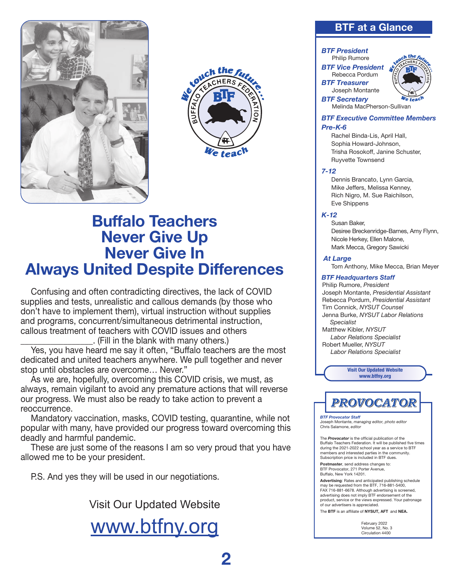



### Buffalo Teachers Never Give Up Never Give In Always United Despite Differences

Confusing and often contradicting directives, the lack of COVID supplies and tests, unrealistic and callous demands (by those who don't have to implement them), virtual instruction without supplies and programs, concurrent/simultaneous detrimental instruction, callous treatment of teachers with COVID issues and others \_\_\_\_\_\_\_\_\_\_\_\_\_\_\_\_\_. (Fill in the blank with many others.)

Yes, you have heard me say it often, "Buffalo teachers are the most dedicated and united teachers anywhere. We pull together and never stop until obstacles are overcome… Never."

As we are, hopefully, overcoming this COVID crisis, we must, as always, remain vigilant to avoid any premature actions that will reverse our progress. We must also be ready to take action to prevent a reoccurrence.

Mandatory vaccination, masks, COVID testing, quarantine, while not popular with many, have provided our progress toward overcoming this deadly and harmful pandemic.

These are just some of the reasons I am so very proud that you have allowed me to be your president.

P.S. And yes they will be used in our negotiations.

Visit Our Updated Website

www.btfny.org

### BTF at a Glance

#### *BTF President*

Philip Rumore *BTF Vice President*

Rebecca Pordum

*BTF Treasurer* Joseph Montante



*BTF Secretary* Melinda MacPherson-Sullivan

*BTF Executive Committee Members*

### *Pre-K-6*

Rachel Binda-Lis, April Hall, Sophia Howard-Johnson, Trisha Rosokoff, Janine Schuster, Ruyvette Townsend

#### *7-12*

Dennis Brancato, Lynn Garcia, Mike Jeffers, Melissa Kenney, Rich Nigro, M. Sue Raichilson, Eve Shippens

#### *K-12*

Susan Baker, Desiree Breckenridge-Barnes, Amy Flynn, Nicole Herkey, Ellen Malone, Mark Mecca, Gregory Sawicki

#### *At Large*

Tom Anthony, Mike Mecca, Brian Meyer

#### *BTF Headquarters Staff*

Philip Rumore, *President* Joseph Montante, *Presidential Assistant* Rebecca Pordum, *Presidential Assistant* Tim Connick, *NYSUT Counsel* Jenna Burke, *NYSUT Labor Relations Specialist* Matthew Kibler, *NYSUT Labor Relations Specialist*

Robert Mueller, *NYSUT Labor Relations Specialist*

> Visit Our Updated Website www.btfny.org

### PROVOCATOR

*BTF Provocator Staff* Joseph Montante, *managing editor, photo editor* Chris Salamone, *editor*

The *Provocator* is the official publication of the Buffalo Teachers Federation. It will be published five times during the 2021-2022 school year as a service to BTF members and interested parties in the community. Subscription price is included in BTF dues.

Postmaster, send address changes to: BTF Provocator, 271 Porter Avenue, Buffalo, New York 14201.

Advertising: Rates and anticipated publishing schedule may be requested from the BTF, 716-881-5400. FAX 716-881-6678. Although advertising is screened, advertising does not imply BTF endorsement of the product, service or the views expressed. Your patronage of our advertisers is appreciated.

The BTF is an affiliate of NYSUT, AFT and NEA.

 February 2022 Volume 52, No. 3 Circulation 4400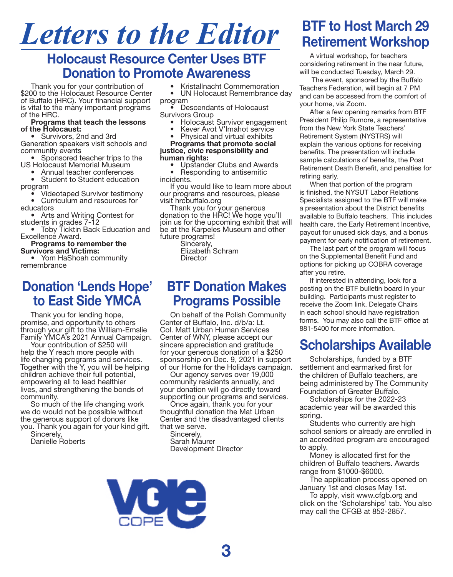# *Letters to the Editor*

### Holocaust Resource Center Uses BTF Donation to Promote Awareness

Thank you for your contribution of \$200 to the Holocaust Resource Center of Buffalo (HRC). Your financial support is vital to the many important programs of the HRC.

#### Programs that teach the lessons of the Holocaust:

• Survivors, 2nd and 3rd Generation speakers visit schools and community events

- Sponsored teacher trips to the US Holocaust Memorial Museum
	- Annual teacher conferences
- Student to Student education program
	- Videotaped Survivor testimony
- Curriculum and resources for educators
- Arts and Writing Contest for students in grades 7-12
- Toby Ticktin Back Education and Excellence Award.

Programs to remember the Survivors and Victims:

• Yom HaShoah community remembrance

### Donation 'Lends Hope' to East Side YMCA

Thank you for lending hope, promise, and opportunity to others through your gift to the William-Emslie Family YMCA's 2021 Annual Campaign.

Your contribution of \$250 will help the Y reach more people with life changing programs and services. Together with the Y, you will be helping children achieve their full potential, empowering all to lead healthier lives, and strengthening the bonds of community.

So much of the life changing work we do would not be possible without the generous support of donors like you. Thank you again for your kind gift.

Sincerely, Danielle Roberts

- 
- Kristallnacht Commemoration<br>• UN Holocaust Remembrance UN Holocaust Remembrance day
- program • Descendants of Holocaust
- Survivors Group
	- Holocaust Survivor engagement
	- Kever Avot V'Imahot service • Physical and virtual exhibits

Programs that promote social justice, civic responsibility and human rights:

- Upstander Clubs and Awards
- Responding to antisemitic

incidents.

If you would like to learn more about our programs and resources, please visit hrcbuffalo.org

Thank you for your generous donation to the HRC! We hope you'll join us for the upcoming exhibit that will be at the Karpeles Museum and other future programs!

Sincerely,

Elizabeth Schram **Director** 

### BTF Donation Makes Programs Possible

On behalf of the Polish Community Center of Buffalo, Inc. d/b/a: Lt. Col. Matt Urban Human Services Center of WNY, please accept our sincere appreciation and gratitude for your generous donation of a \$250 sponsorship on Dec. 9, 2021 in support of our Home for the Holidays campaign.

Our agency serves over 19,000 community residents annually, and your donation will go directly toward supporting our programs and services.

Once again, thank you for your thoughtful donation the Mat Urban Center and the disadvantaged clients that we serve.

Sincerely, Sarah Maurer Development Director



### BTF to Host March 29 Retirement Workshop

A virtual workshop, for teachers considering retirement in the near future, will be conducted Tuesday, March 29.

 The event, sponsored by the Buffalo Teachers Federation, will begin at 7 PM and can be accessed from the comfort of your home, via Zoom.

After a few opening remarks from BTF President Philip Rumore, a representative from the New York State Teachers' Retirement System (NYSTRS) will explain the various options for receiving benefits. The presentation will include sample calculations of benefits, the Post Retirement Death Benefit, and penalties for retiring early.

When that portion of the program is finished, the NYSUT Labor Relations Specialists assigned to the BTF will make a presentation about the District benefits available to Buffalo teachers. This includes health care, the Early Retirement Incentive, payout for unused sick days, and a bonus payment for early notification of retirement.

The last part of the program will focus on the Supplemental Benefit Fund and options for picking up COBRA coverage after you retire.

If interested in attending, look for a posting on the BTF bulletin board in your building. Participants must register to receive the Zoom link. Delegate Chairs in each school should have registration forms. You may also call the BTF office at 881-5400 for more information.

## Scholarships Available

Scholarships, funded by a BTF settlement and earmarked first for the children of Buffalo teachers, are being administered by The Community Foundation of Greater Buffalo.

Scholarships for the 2022-23 academic year will be awarded this spring.

Students who currently are high school seniors or already are enrolled in an accredited program are encouraged to apply.

Money is allocated first for the children of Buffalo teachers. Awards range from \$1000-\$6000.

The application process opened on January 1st and closes May 1st.

To apply, visit www.cfgb.org and click on the 'Scholarships' tab. You also may call the CFGB at 852-2857.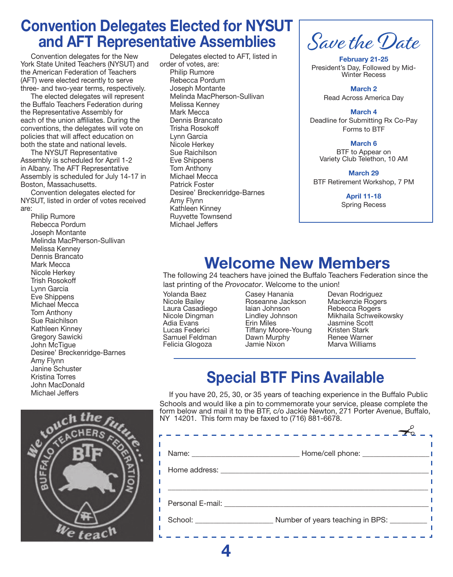### Convention Delegates Elected for NYSUT and AFT Representative Assemblies

Convention delegates for the New York State United Teachers (NYSUT) and the American Federation of Teachers (AFT) were elected recently to serve three- and two-year terms, respectively.

The elected delegates will represent the Buffalo Teachers Federation during the Representative Assembly for each of the union affiliates. During the conventions, the delegates will vote on policies that will affect education on both the state and national levels.

The NYSUT Representative Assembly is scheduled for April 1-2 in Albany. The AFT Representative Assembly is scheduled for July 14-17 in Boston, Massachusetts.

Convention delegates elected for NYSUT, listed in order of votes received are:

Philip Rumore Rebecca Pordum Joseph Montante Melinda MacPherson-Sullivan Melissa Kenney Dennis Brancato Mark Mecca Nicole Herkey Trish Rosokoff Lynn Garcia Eve Shippens Michael Mecca Tom Anthony Sue Raichilson Kathleen Kinney Gregory Sawicki John McTigue Desiree' Breckenridge-Barnes Amy Flynn Janine Schuster Kristina Torres John MacDonald Michael Jeffers



Delegates elected to AFT, listed in order of votes, are: Philip Rumore Rebecca Pordum Joseph Montante Melinda MacPherson-Sullivan Melissa Kenney Mark Mecca Dennis Brancato Trisha Rosokoff Lynn Garcia Nicole Herkey Sue Raichilson Eve Shippens Tom Anthony Michael Mecca Patrick Foster Desiree' Breckenridge-Barnes Amy Flynn Kathleen Kinney Ruyvette Townsend Michael Jeffers



February 21-25 President's Day, Followed by Mid-Winter Recess

> March 2 Read Across America Day

March 4 Deadline for Submitting Rx Co-Pay Forms to BTF

March 6

BTF to Appear on Variety Club Telethon, 10 AM

March 29 BTF Retirement Workshop, 7 PM

> April 11-18 Spring Recess

# Welcome New Members

The following 24 teachers have joined the Buffalo Teachers Federation since the last printing of the *Provocator*. Welcome to the union!

Laura Casadiego Felicia Glogoza

I

Yolanda Baez Casey Hanania Devan Rodriguez Roseanne Jackson Mackenzie Roger<br>Iaian Johnson Mebecca Rogers Adia Evans Erin Miles Jasmine Scott Tiffany Moore-Young Kristen Stark<br>Dawn Murphy Renee Warner Samuel Feldman Dawn Murphy Renee Warner

Nicole Dingman Lindley Johnson Mikhaila Schweikowsky

# Special BTF Pins Available

 If you have 20, 25, 30, or 35 years of teaching experience in the Buffalo Public Schools and would like a pin to commemorate your service, please complete the form below and mail it to the BTF, c/o Jackie Newton, 271 Porter Avenue, Buffalo, NY 14201. This form may be faxed to (716) 881-6678.

|                                                                                                                                                                                                                                      | <u> De Santa Carlos de Santa Ca</u>   |
|--------------------------------------------------------------------------------------------------------------------------------------------------------------------------------------------------------------------------------------|---------------------------------------|
| Home address: Nome and North States                                                                                                                                                                                                  | Home/cell phone: _________________    |
| Personal E-mail: _______                                                                                                                                                                                                             |                                       |
| School: <u>Andrea Maria Maria Maria Maria Maria Maria Maria Maria Maria Maria Maria Maria Maria Maria Maria Maria Maria Maria Maria Maria Maria Maria Maria Maria Maria Maria Maria Maria Maria Maria Maria Maria Maria Maria Ma</u> | Number of years teaching in BPS: ____ |

4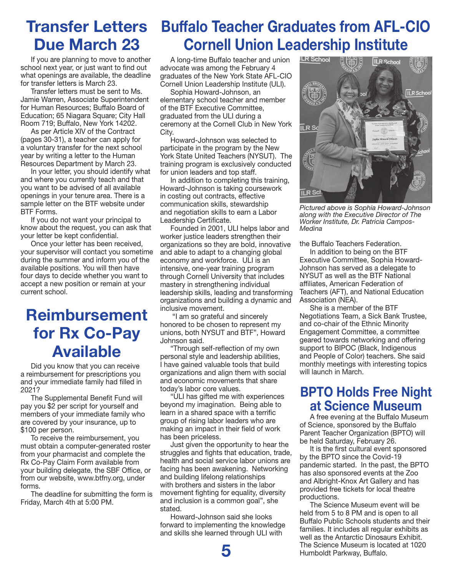# Due March 23

If you are planning to move to another school next year, or just want to find out what openings are available, the deadline for transfer letters is March 23.

Transfer letters must be sent to Ms. Jamie Warren, Associate Superintendent for Human Resources; Buffalo Board of Education; 65 Niagara Square; City Hall Room 719; Buffalo, New York 14202.

As per Article XIV of the Contract (pages 30-31), a teacher can apply for a voluntary transfer for the next school year by writing a letter to the Human Resources Department by March 23.

In your letter, you should identify what and where you currently teach and that you want to be advised of all available openings in your tenure area. There is a sample letter on the BTF website under BTF Forms.

If you do not want your principal to know about the request, you can ask that your letter be kept confidential.

Once your letter has been received, your supervisor will contact you sometime during the summer and inform you of the available positions. You will then have four days to decide whether you want to accept a new position or remain at your current school.

### Reimbursement for Rx Co-Pay Available

Did you know that you can receive a reimbursement for prescriptions you and your immediate family had filled in 2021?

The Supplemental Benefit Fund will pay you \$2 per script for yourself and members of your immediate family who are covered by your insurance, up to \$100 per person.

To receive the reimbursement, you must obtain a computer-generated roster from your pharmacist and complete the Rx Co-Pay Claim Form available from your building delegate, the SBF Office, or from our website, www.btfny.org, under forms.

The deadline for submitting the form is Friday, March 4th at 5:00 PM.

## Transfer Letters Buffalo Teacher Graduates from AFL-CIO Cornell Union Leadership Institute

A long-time Buffalo teacher and union advocate was among the February 4 graduates of the New York State AFL-CIO Cornell Union Leadership Institute (ULI).

Sophia Howard-Johnson, an elementary school teacher and member of the BTF Executive Committee, graduated from the ULI during a ceremony at the Cornell Club in New York City.

Howard-Johnson was selected to participate in the program by the New York State United Teachers (NYSUT). The training program is exclusively conducted for union leaders and top staff.

In addition to completing this training, Howard-Johnson is taking coursework in costing out contracts, effective communication skills, stewardship and negotiation skills to earn a Labor Leadership Certificate.

Founded in 2001, ULI helps labor and worker justice leaders strengthen their organizations so they are bold, innovative and able to adapt to a changing global economy and workforce. ULI is an intensive, one-year training program through Cornell University that includes mastery in strengthening individual leadership skills, leading and transforming organizations and building a dynamic and inclusive movement.

 "I am so grateful and sincerely honored to be chosen to represent my unions, both NYSUT and BTF", Howard Johnson said.

"Through self-reflection of my own personal style and leadership abilities, I have gained valuable tools that build organizations and align them with social and economic movements that share today's labor core values.

"ULI has gifted me with experiences beyond my imagination. Being able to learn in a shared space with a terrific group of rising labor leaders who are making an impact in their field of work has been priceless.

Just given the opportunity to hear the struggles and fights that education, trade, health and social service labor unions are facing has been awakening. Networking and building lifelong relationships with brothers and sisters in the labor movement fighting for equality, diversity and inclusion is a common goal", she stated.

Howard-Johnson said she looks forward to implementing the knowledge and skills she learned through ULI with



*Pictured above is Sophia Howard-Johnson along with the Executive Director of The Worker Institute, Dr. Patricia Campos-Medina*

the Buffalo Teachers Federation.

In addition to being on the BTF Executive Committee, Sophia Howard-Johnson has served as a delegate to NYSUT as well as the BTF National affiliates, American Federation of Teachers (AFT), and National Education Association (NEA).

She is a member of the BTF Negotiations Team, a Sick Bank Trustee, and co-chair of the Ethnic Minority Engagement Committee, a committee geared towards networking and offering support to BIPOC (Black, Indigenous and People of Color) teachers. She said monthly meetings with interesting topics will launch in March.

### BPTO Holds Free Night at Science Museum

A free evening at the Buffalo Museum of Science, sponsored by the Buffalo Parent Teacher Organization (BPTO) will be held Saturday, February 26.

It is the first cultural event sponsored by the BPTO since the Covid-19 pandemic started. In the past, the BPTO has also sponsored events at the Zoo and Albright-Knox Art Gallery and has provided free tickets for local theatre productions.

The Science Museum event will be held from 5 to 8 PM and is open to all Buffalo Public Schools students and their families. It includes all regular exhibits as well as the Antarctic Dinosaurs Exhibit. The Science Museum is located at 1020 Humboldt Parkway, Buffalo.

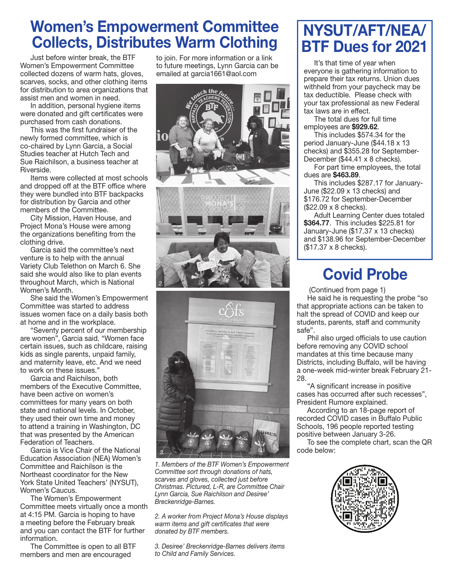### Women's Empowerment Committee Collects, Distributes Warm Clothing

Just before winter break, the BTF Women's Empowerment Committee collected dozens of warm hats, gloves, scarves, socks, and other clothing items for distribution to area organizations that assist men and women in need.

In addition, personal hygiene items were donated and gift certificates were purchased from cash donations.

This was the first fundraiser of the newly formed committee, which is co-chaired by Lynn Garcia, a Social Studies teacher at Hutch Tech and Sue Raichilson, a business teacher at Riverside.

Items were collected at most schools and dropped off at the BTF office where they were bundled into BTF backpacks for distribution by Garcia and other members of the Committee.

City Mission, Haven House, and Project Mona's House were among the organizations benefiting from the clothing drive.

Garcia said the committee's next venture is to help with the annual Variety Club Telethon on March 6. She said she would also like to plan events throughout March, which is National Women's Month.

She said the Women's Empowerment Committee was started to address issues women face on a daily basis both at home and in the workplace.

"Seventy percent of our membership are women", Garcia said. "Women face certain issues, such as childcare, raising kids as single parents, unpaid family, and maternity leave, etc. And we need to work on these issues."

Garcia and Raichilson, both members of the Executive Committee, have been active on women's committees for many years on both state and national levels. In October, they used their own time and money to attend a training in Washington, DC that was presented by the American Federation of Teachers.

Garcia is Vice Chair of the National Education Association (NEA) Women's Committee and Raichilson is the Northeast coordinator for the New York State United Teachers' (NYSUT), Women's Caucus.

The Women's Empowerment Committee meets virtually once a month at 4:15 PM. Garcia is hoping to have a meeting before the February break and you can contact the BTF for further information.

The Committee is open to all BTF members and men are encouraged

to join. For more information or a link to future meetings, Lynn Garcia can be emailed at garcia1661@aol.com





*1. Members of the BTF Women's Empowerment Committee sort through donations of hats, scarves and gloves, collected just before Christmas. Pictured, L-R, are Committee Chair Lynn Garcia, Sue Raichilson and Desiree' Breckenridge-Barnes.*

*2. A worker from Project Mona's House displays warm items and gift certificates that were donated by BTF members.* 

*3. Desiree' Breckenridge-Barnes delivers items to Child and Family Services.*

### NYSUT/AFT/NEA/ BTF Dues for 2021

It's that time of year when everyone is gathering information to prepare their tax returns. Union dues withheld from your paycheck may be tax deductible. Please check with your tax professional as new Federal tax laws are in effect.

The total dues for full time employees are \$929.62.

This includes \$574.34 for the period January-June (\$44.18 x 13 checks) and \$355.28 for September-December (\$44.41 x 8 checks).

For part time employees, the total dues are \$463.89.

This includes \$287.17 for January-June (\$22.09 x 13 checks) and \$176.72 for September-December (\$22.09 x 8 checks).

Adult Learning Center dues totaled \$364.77. This includes \$225.81 for January-June (\$17.37 x 13 checks) and \$138.96 for September-December (\$17.37 x 8 checks).

# Covid Probe

 (Continued from page 1) He said he is requesting the probe "so that appropriate actions can be taken to halt the spread of COVID and keep our students, parents, staff and community safe".

Phil also urged officials to use caution before removing any COVID school mandates at this time because many Districts, including Buffalo, will be having a one-week mid-winter break February 21- 28.

"A significant increase in positive cases has occurred after such recesses", President Rumore explained.

According to an 18-page report of recorded COVID cases in Buffalo Public Schools, 196 people reported testing positive between January 3-26.

To see the complete chart, scan the QR code below:

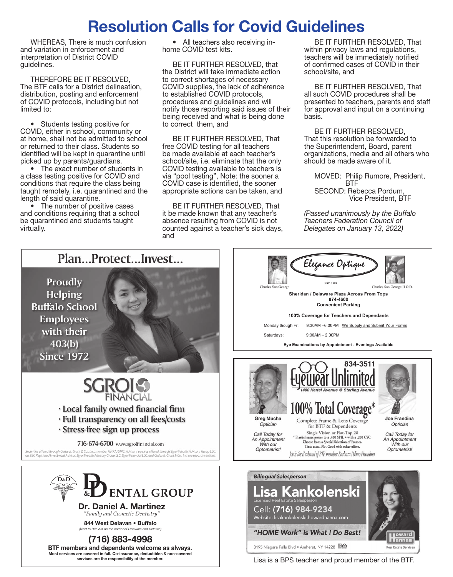## Resolution Calls for Covid Guidelines

WHEREAS, There is much confusion and variation in enforcement and interpretation of District COVID guidelines.

THEREFORE BE IT RESOLVED, The BTF calls for a District delineation, distribution, posting and enforcement of COVID protocols, including but not limited to:

• Students testing positive for COVID, either in school, community or at home, shall not be admitted to school or returned to their class. Students so identified will be kept in quarantine until picked up by parents/guardians.

• The exact number of students in a class testing positive for COVID and conditions that require the class being taught remotely, i.e. quarantined and the length of said quarantine.

• The number of positive cases and conditions requiring that a school be quarantined and students taught virtually.

services are the responsibility of the member.

• All teachers also receiving inhome COVID test kits.

BE IT FURTHER RESOLVED, that the District will take immediate action to correct shortages of necessary COVID supplies, the lack of adherence to established COVID protocols, procedures and guidelines and will notify those reporting said issues of their being received and what is being done to correct them, and

BE IT FURTHER RESOLVED, That free COVID testing for all teachers be made available at each teacher's school/site, i.e. eliminate that the only COVID testing available to teachers is via "pool testing", Note: the sooner a COVID case is identified, the sooner appropriate actions can be taken, and

BE IT FURTHER RESOLVED, That it be made known that any teacher's absence resulting from COVID is not counted against a teacher's sick days, and

BE IT FURTHER RESOLVED, That within privacy laws and regulations, teachers will be immediately notified of confirmed cases of COVID in their school/site, and

BE IT FURTHER RESOLVED, That all such COVID procedures shall be presented to teachers, parents and staff for approval and input on a continuing basis.

BE IT FURTHER RESOLVED, That this resolution be forwarded to the Superintendent, Board, parent organizations, media and all others who should be made aware of it.

MOVED: Philip Rumore, President, BTF SECOND: Rebecca Pordum, Vice President, BTF

*(Passed unanimously by the Buffalo Teachers Federation Council of Delegates on January 13, 2022)*



Lisa is a BPS teacher and proud member of the BTF.